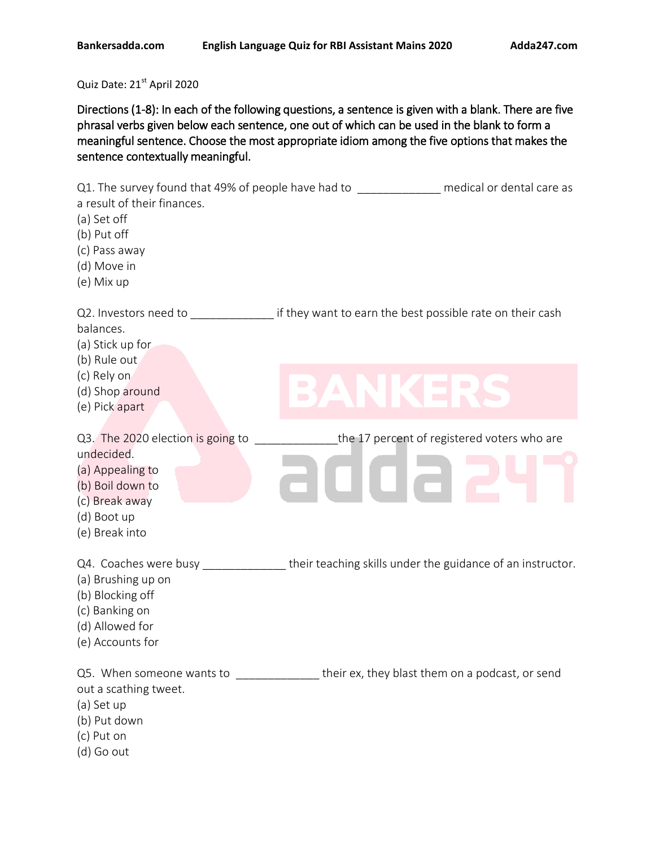Quiz Date: 21st April 2020

Directions (1-8): In each of the following questions, a sentence is given with a blank. There are five phrasal verbs given below each sentence, one out of which can be used in the blank to form a meaningful sentence. Choose the most appropriate idiom among the five options that makes the sentence contextually meaningful.

| Q1. The survey found that 49% of people have had to<br>a result of their finances.<br>(a) Set off<br>(b) Put off<br>(c) Pass away<br>(d) Move in<br>(e) Mix up               |                                                            | medical or dental care as                   |
|------------------------------------------------------------------------------------------------------------------------------------------------------------------------------|------------------------------------------------------------|---------------------------------------------|
| balances.<br>(a) Stick up for<br>(b) Rule out                                                                                                                                |                                                            |                                             |
| (c) Rely on<br>(d) Shop around<br>(e) Pick apart                                                                                                                             | $\Box$<br>$\Box$                                           | $\blacksquare$                              |
| Q3. The 2020 election is going to<br>undecided.<br>(a) Appealing to<br>(b) Boil down to<br>(c) Break away<br>(d) Boot up<br>(e) Break into                                   |                                                            | the 17 percent of registered voters who are |
| Q4. Coaches were busy<br>(a) Brushing up on<br>(b) Blocking off<br>(c) Banking on<br>(d) Allowed for<br>(e) Accounts for                                                     | their teaching skills under the guidance of an instructor. |                                             |
| Q5. When someone wants to ________________their ex, they blast them on a podcast, or send<br>out a scathing tweet.<br>(a) Set up<br>(b) Put down<br>(c) Put on<br>(d) Go out |                                                            |                                             |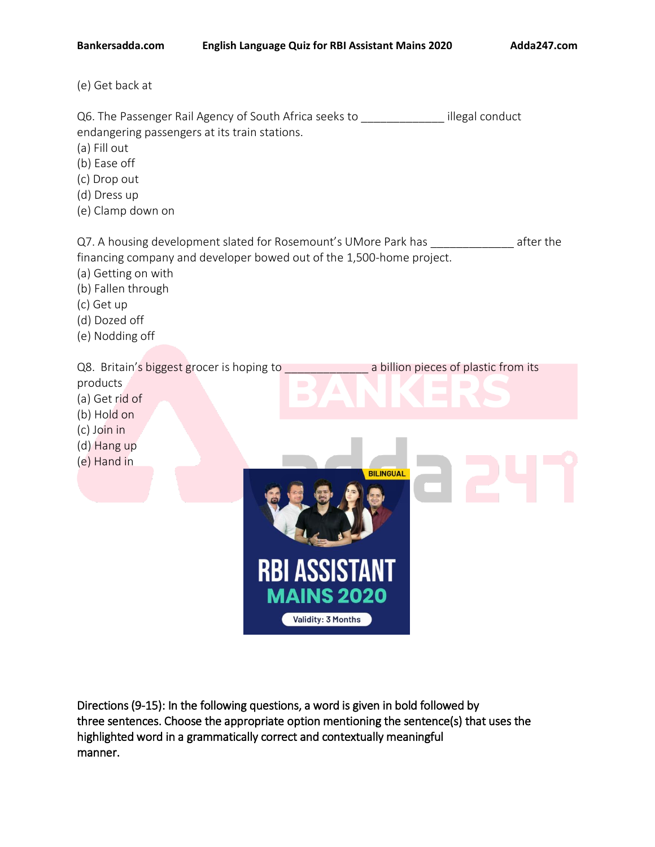(e) Get back at

Q6. The Passenger Rail Agency of South Africa seeks to \_\_\_\_\_\_\_\_\_\_\_\_\_\_\_ illegal conduct endangering passengers at its train stations.

- (a) Fill out
- (b) Ease off
- (c) Drop out
- (d) Dress up
- (e) Clamp down on

Q7. A housing development slated for Rosemount's UMore Park has \_\_\_\_\_\_\_\_\_\_\_\_\_\_\_ after the financing company and developer bowed out of the 1,500-home project.

- (a) Getting on with
- (b) Fallen through
- (c) Get up
- (d) Dozed off
- (e) Nodding off

Q8. Britain's biggest grocer is hoping to a billion pieces of plastic from its

- products
- (a) Get rid of
- (b) Hold on
- (c) Join in
- (d) Hang up
- (e) Hand in

**BILINGUAL RBI ASSISTANT MAINS 2020** Validity: 3 Months

Directions (9-15): In the following questions, a word is given in bold followed by three sentences. Choose the appropriate option mentioning the sentence(s) that uses the highlighted word in a grammatically correct and contextually meaningful manner.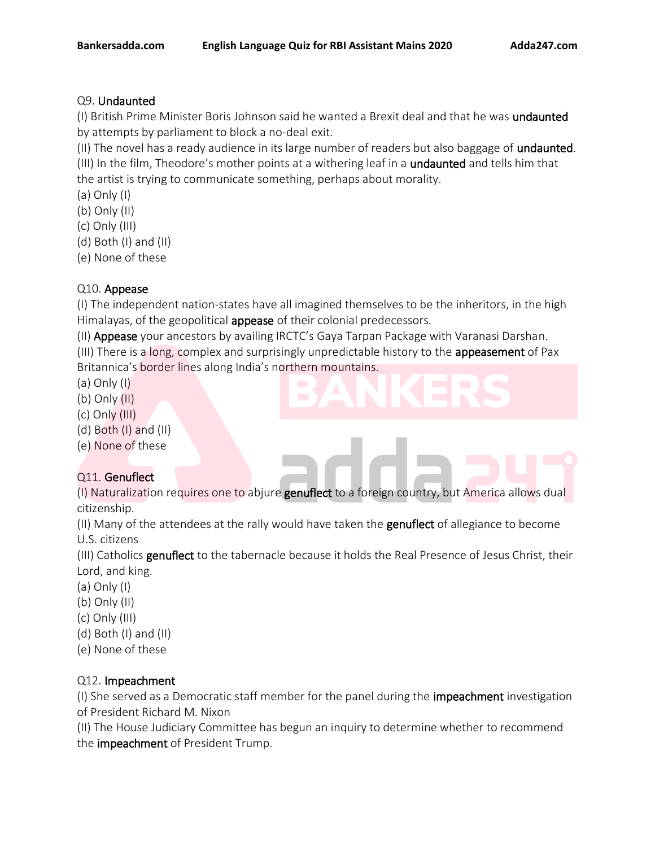#### Q9. Undaunted

(I) British Prime Minister Boris Johnson said he wanted a Brexit deal and that he was undaunted by attempts by parliament to block a no-deal exit.

(II) The novel has a ready audience in its large number of readers but also baggage of undaunted.

(III) In the film, Theodore's mother points at a withering leaf in a undaunted and tells him that the artist is trying to communicate something, perhaps about morality.

(a) Only (I)

(b) Only (II)

(c) Only (III)

(d) Both (I) and (II)

(e) None of these

## Q10. Appease

(I) The independent nation-states have all imagined themselves to be the inheritors, in the high Himalayas, of the geopolitical **appease** of their colonial predecessors.

(II) Appease your ancestors by availing IRCTC's Gaya Tarpan Package with Varanasi Darshan.

(III) There is a long, complex and surprisingly unpredictable history to the appeasement of Pax Britannica's border lines along India's northern mountains.

(a) Only (I)

(b) Only (II)

(c) Only (III)

(d) Both (I) and (II)

(e) None of these

# Q11. Genuflect

(I) Naturalization requires one to abjure **genuflect** to a foreign country, but America allows dual citizenship.

(II) Many of the attendees at the rally would have taken the **genuflect** of allegiance to become U.S. citizens

(III) Catholics genuflect to the tabernacle because it holds the Real Presence of Jesus Christ, their Lord, and king.

- (a) Only (I)
- (b) Only (II)
- (c) Only (III)
- (d) Both (I) and (II)
- (e) None of these

## Q12. Impeachment

(I) She served as a Democratic staff member for the panel during the impeachment investigation of President Richard M. Nixon

(II) The House Judiciary Committee has begun an inquiry to determine whether to recommend the impeachment of President Trump.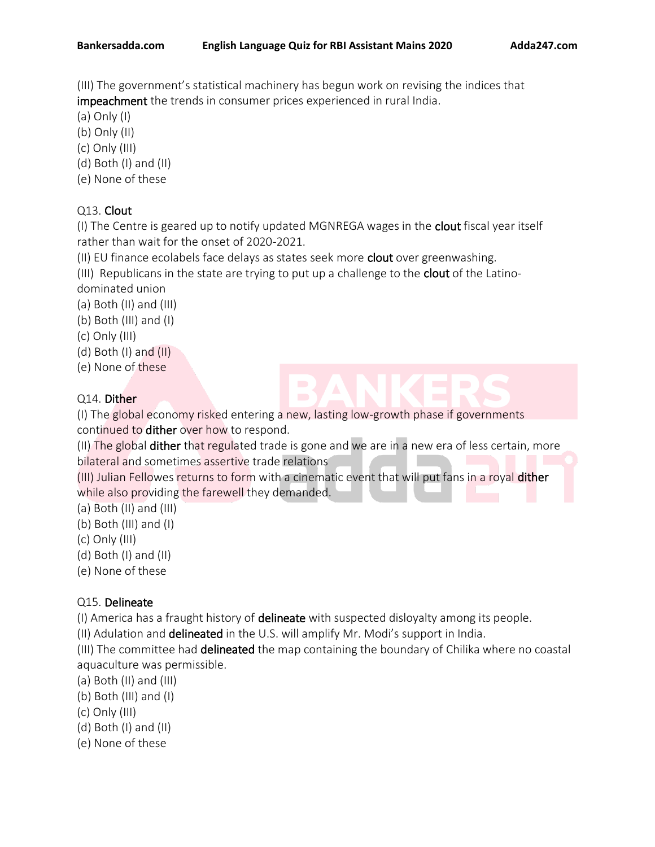(III) The government's statistical machinery has begun work on revising the indices that impeachment the trends in consumer prices experienced in rural India.

- (a) Only (I)
- (b) Only (II)
- (c) Only (III)
- (d) Both (I) and (II)
- (e) None of these

## Q13. Clout

(I) The Centre is geared up to notify updated MGNREGA wages in the clout fiscal year itself rather than wait for the onset of 2020-2021.

(II) EU finance ecolabels face delays as states seek more clout over greenwashing.

(III) Republicans in the state are trying to put up a challenge to the clout of the Latinodominated union

(a) Both (II) and (III)

- (b) Both (III) and (I)
- (c) Only (III)
- (d) Both (I) and (II)
- (e) None of these

## Q14. Dither

(I) The global economy risked entering a new, lasting low-growth phase if governments continued to dither over how to respond.

(II) The global dither that regulated trade is gone and we are in a new era of less certain, more bilateral and sometimes assertive trade relations

(III) Julian Fellowes returns to form with a cinematic event that will put fans in a royal dither while also providing the farewell they demanded.

- (a) Both (II) and (III)
- (b) Both (III) and (I)
- (c) Only (III)
- (d) Both (I) and (II)
- (e) None of these

# Q15. Delineate

(I) America has a fraught history of delineate with suspected disloyalty among its people.

(II) Adulation and delineated in the U.S. will amplify Mr. Modi's support in India.

(III) The committee had delineated the map containing the boundary of Chilika where no coastal aquaculture was permissible.

- (a) Both (II) and (III)
- (b) Both (III) and (I)
- (c) Only (III)
- (d) Both (I) and (II)
- (e) None of these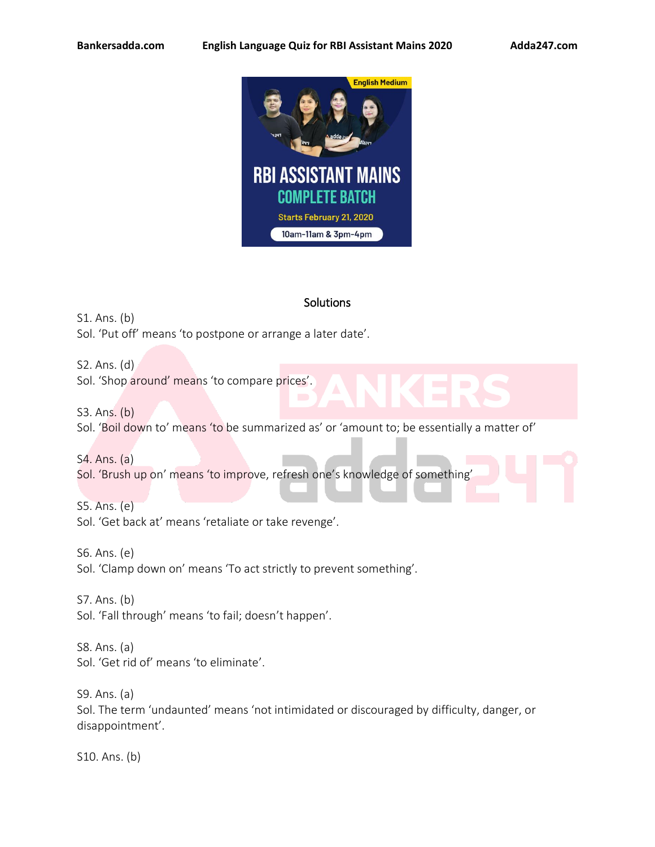

#### **Solutions**

S1. Ans. (b) Sol. 'Put off' means 'to postpone or arrange a later date'.

S2. Ans. (d) Sol. 'Shop around' means 'to compare prices'.

S3. Ans. (b) Sol. 'Boil down to' means 'to be summarized as' or 'amount to; be essentially a matter of'

S4. Ans. (a) Sol. 'Brush up on' means 'to improve, refresh one's knowledge of something'

S5. Ans. (e) Sol. 'Get back at' means 'retaliate or take revenge'.

S6. Ans. (e) Sol. 'Clamp down on' means 'To act strictly to prevent something'.

S7. Ans. (b) Sol. 'Fall through' means 'to fail; doesn't happen'.

S8. Ans. (a) Sol. 'Get rid of' means 'to eliminate'.

S9. Ans. (a) Sol. The term 'undaunted' means 'not intimidated or discouraged by difficulty, danger, or disappointment'.

S10. Ans. (b)